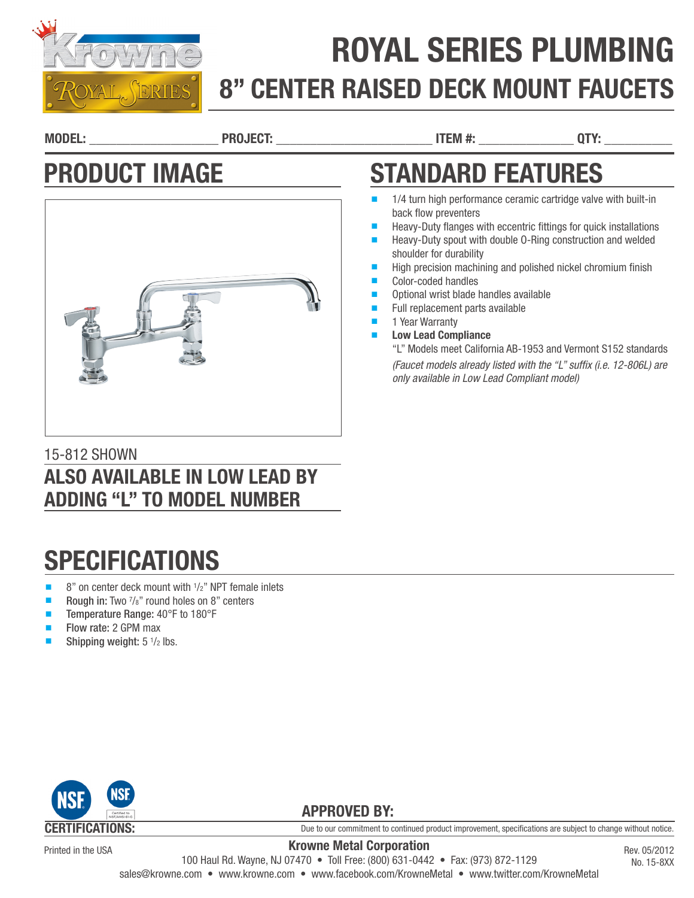

# ROYAL SERIES PLUMBING 8" CENTER RAISED DECK MOUNT FAUCETS

back flow preventers

shoulder for durability

Color-coded handles

1 Year Warranty **Low Lead Compliance** 

MODEL: \_\_\_\_\_\_\_\_\_\_\_\_\_\_\_\_\_\_\_ PROJECT: \_\_\_\_\_\_\_\_\_\_\_\_\_\_\_\_\_\_\_\_\_\_\_ ITEM #: \_\_\_\_\_\_\_\_\_\_\_\_\_\_ QTY: \_\_\_\_\_\_\_\_\_\_

Optional wrist blade handles available Full replacement parts available

*only available in Low Lead Compliant model)*

STANDARD FEATURES

1/4 turn high performance ceramic cartridge valve with built-in

Heavy-Duty flanges with eccentric fittings for quick installations Heavy-Duty spout with double 0-Ring construction and welded

High precision machining and polished nickel chromium finish

"L" Models meet California AB-1953 and Vermont S152 standards *(Faucet models already listed with the "L" suffix (i.e. 12-806L) are* 

## PRODUCT IMAGE



### 15-812 SHOWN ALSO AVAILABLE IN LOW LEAD BY ADDING "L" TO MODEL NUMBER

# **SPECIFICATIONS**

- 8" on center deck mount with <sup>1</sup>/<sub>2</sub>" NPT female inlets
- Rough in: Two  $\frac{7}{8}$ " round holes on 8" centers
- Temperature Range: 40°F to 180°F
- Flow rate: 2 GPM max
- Shipping weight:  $5 \frac{1}{2}$  lbs.



Printed in the USA

Due to our commitment to continued product improvement, specifications are subject to change without notice.

Krowne Metal Corporation 100 Haul Rd. Wayne, NJ 07470 • Toll Free: (800) 631-0442 • Fax: (973) 872-1129 sales@krowne.com • www.krowne.com • www.facebook.com/KrowneMetal • www.twitter.com/KrowneMetal